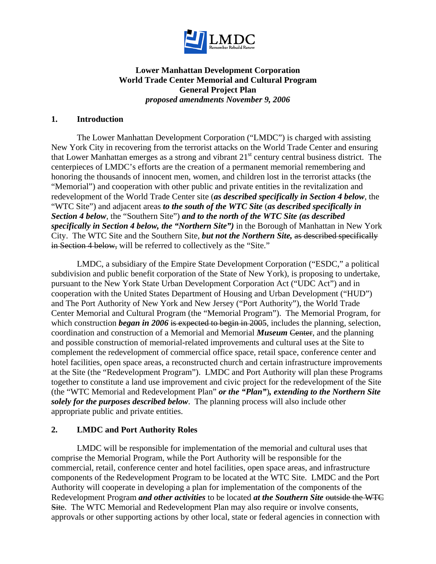

# **Lower Manhattan Development Corporation World Trade Center Memorial and Cultural Program General Project Plan**  *proposed amendments November 9, 2006*

### **1. Introduction**

The Lower Manhattan Development Corporation ("LMDC") is charged with assisting New York City in recovering from the terrorist attacks on the World Trade Center and ensuring that Lower Manhattan emerges as a strong and vibrant 21st century central business district. The centerpieces of LMDC's efforts are the creation of a permanent memorial remembering and honoring the thousands of innocent men, women, and children lost in the terrorist attacks (the "Memorial") and cooperation with other public and private entities in the revitalization and redevelopment of the World Trade Center site (*as described specifically in Section 4 below*, the "WTC Site") and adjacent areas *to the south of the WTC Site* (*as described specifically in Section 4 below*, the "Southern Site") *and to the north of the WTC Site (as described specifically in Section 4 below, the "Northern Site")* in the Borough of Manhattan in New York City. The WTC Site and the Southern Site, *but not the Northern Site,* as described specifically in Section 4 below, will be referred to collectively as the "Site."

LMDC, a subsidiary of the Empire State Development Corporation ("ESDC," a political subdivision and public benefit corporation of the State of New York), is proposing to undertake, pursuant to the New York State Urban Development Corporation Act ("UDC Act") and in cooperation with the United States Department of Housing and Urban Development ("HUD") and The Port Authority of New York and New Jersey ("Port Authority"), the World Trade Center Memorial and Cultural Program (the "Memorial Program"). The Memorial Program, for which construction *began in 2006* is expected to begin in 2005, includes the planning, selection, coordination and construction of a Memorial and Memorial *Museum* Center, and the planning and possible construction of memorial-related improvements and cultural uses at the Site to complement the redevelopment of commercial office space, retail space, conference center and hotel facilities, open space areas, a reconstructed church and certain infrastructure improvements at the Site (the "Redevelopment Program"). LMDC and Port Authority will plan these Programs together to constitute a land use improvement and civic project for the redevelopment of the Site (the "WTC Memorial and Redevelopment Plan" *or the "Plan"*)*, extending to the Northern Site solely for the purposes described below*. The planning process will also include other appropriate public and private entities.

## **2. LMDC and Port Authority Roles**

LMDC will be responsible for implementation of the memorial and cultural uses that comprise the Memorial Program, while the Port Authority will be responsible for the commercial, retail, conference center and hotel facilities, open space areas, and infrastructure components of the Redevelopment Program to be located at the WTC Site. LMDC and the Port Authority will cooperate in developing a plan for implementation of the components of the Redevelopment Program *and other activities* to be located *at the Southern Site* outside the WTC Site. The WTC Memorial and Redevelopment Plan may also require or involve consents, approvals or other supporting actions by other local, state or federal agencies in connection with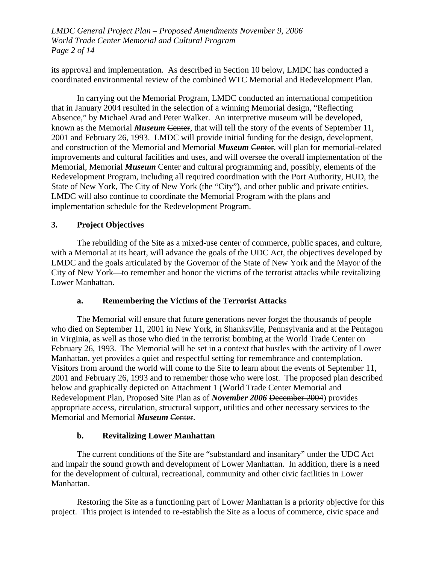*LMDC General Project Plan – Proposed Amendments November 9, 2006 World Trade Center Memorial and Cultural Program Page 2 of 14* 

its approval and implementation. As described in Section 10 below, LMDC has conducted a coordinated environmental review of the combined WTC Memorial and Redevelopment Plan.

In carrying out the Memorial Program, LMDC conducted an international competition that in January 2004 resulted in the selection of a winning Memorial design, "Reflecting Absence," by Michael Arad and Peter Walker. An interpretive museum will be developed, known as the Memorial *Museum* Center, that will tell the story of the events of September 11, 2001 and February 26, 1993. LMDC will provide initial funding for the design, development, and construction of the Memorial and Memorial *Museum* Center, will plan for memorial-related improvements and cultural facilities and uses, and will oversee the overall implementation of the Memorial, Memorial *Museum* Center and cultural programming and, possibly, elements of the Redevelopment Program, including all required coordination with the Port Authority, HUD, the State of New York, The City of New York (the "City"), and other public and private entities. LMDC will also continue to coordinate the Memorial Program with the plans and implementation schedule for the Redevelopment Program.

## **3. Project Objectives**

The rebuilding of the Site as a mixed-use center of commerce, public spaces, and culture, with a Memorial at its heart, will advance the goals of the UDC Act, the objectives developed by LMDC and the goals articulated by the Governor of the State of New York and the Mayor of the City of New York—to remember and honor the victims of the terrorist attacks while revitalizing Lower Manhattan.

## **a. Remembering the Victims of the Terrorist Attacks**

The Memorial will ensure that future generations never forget the thousands of people who died on September 11, 2001 in New York, in Shanksville, Pennsylvania and at the Pentagon in Virginia, as well as those who died in the terrorist bombing at the World Trade Center on February 26, 1993. The Memorial will be set in a context that bustles with the activity of Lower Manhattan, yet provides a quiet and respectful setting for remembrance and contemplation. Visitors from around the world will come to the Site to learn about the events of September 11, 2001 and February 26, 1993 and to remember those who were lost. The proposed plan described below and graphically depicted on Attachment 1 (World Trade Center Memorial and Redevelopment Plan, Proposed Site Plan as of *November 2006* December 2004) provides appropriate access, circulation, structural support, utilities and other necessary services to the Memorial and Memorial *Museum* Center.

## **b. Revitalizing Lower Manhattan**

The current conditions of the Site are "substandard and insanitary" under the UDC Act and impair the sound growth and development of Lower Manhattan. In addition, there is a need for the development of cultural, recreational, community and other civic facilities in Lower Manhattan.

Restoring the Site as a functioning part of Lower Manhattan is a priority objective for this project. This project is intended to re-establish the Site as a locus of commerce, civic space and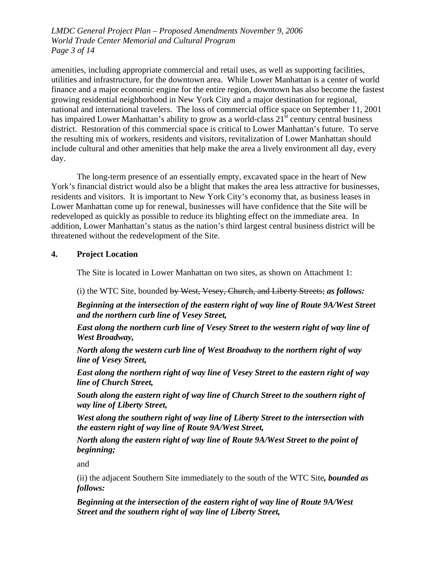*LMDC General Project Plan – Proposed Amendments November 9, 2006 World Trade Center Memorial and Cultural Program Page 3 of 14* 

amenities, including appropriate commercial and retail uses, as well as supporting facilities, utilities and infrastructure, for the downtown area. While Lower Manhattan is a center of world finance and a major economic engine for the entire region, downtown has also become the fastest growing residential neighborhood in New York City and a major destination for regional, national and international travelers. The loss of commercial office space on September 11, 2001 has impaired Lower Manhattan's ability to grow as a world-class  $21<sup>st</sup>$  century central business district. Restoration of this commercial space is critical to Lower Manhattan's future. To serve the resulting mix of workers, residents and visitors, revitalization of Lower Manhattan should include cultural and other amenities that help make the area a lively environment all day, every day.

The long-term presence of an essentially empty, excavated space in the heart of New York's financial district would also be a blight that makes the area less attractive for businesses, residents and visitors. It is important to New York City's economy that, as business leases in Lower Manhattan come up for renewal, businesses will have confidence that the Site will be redeveloped as quickly as possible to reduce its blighting effect on the immediate area. In addition, Lower Manhattan's status as the nation's third largest central business district will be threatened without the redevelopment of the Site.

## **4. Project Location**

The Site is located in Lower Manhattan on two sites, as shown on Attachment 1:

(i) the WTC Site, bounded by West, Vesey, Church, and Liberty Streets; *as follows:* 

*Beginning at the intersection of the eastern right of way line of Route 9A/West Street and the northern curb line of Vesey Street,* 

*East along the northern curb line of Vesey Street to the western right of way line of West Broadway,* 

*North along the western curb line of West Broadway to the northern right of way line of Vesey Street,* 

*East along the northern right of way line of Vesey Street to the eastern right of way line of Church Street,* 

*South along the eastern right of way line of Church Street to the southern right of way line of Liberty Street,* 

*West along the southern right of way line of Liberty Street to the intersection with the eastern right of way line of Route 9A/West Street,* 

*North along the eastern right of way line of Route 9A/West Street to the point of beginning;* 

and

(ii) the adjacent Southern Site immediately to the south of the WTC Site*, bounded as follows:* 

*Beginning at the intersection of the eastern right of way line of Route 9A/West Street and the southern right of way line of Liberty Street,*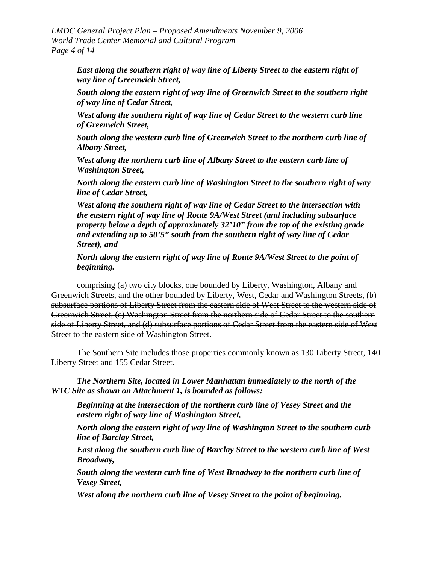*LMDC General Project Plan – Proposed Amendments November 9, 2006 World Trade Center Memorial and Cultural Program Page 4 of 14* 

*East along the southern right of way line of Liberty Street to the eastern right of way line of Greenwich Street,* 

*South along the eastern right of way line of Greenwich Street to the southern right of way line of Cedar Street,* 

*West along the southern right of way line of Cedar Street to the western curb line of Greenwich Street,* 

*South along the western curb line of Greenwich Street to the northern curb line of Albany Street,* 

*West along the northern curb line of Albany Street to the eastern curb line of Washington Street,* 

*North along the eastern curb line of Washington Street to the southern right of way line of Cedar Street,* 

*West along the southern right of way line of Cedar Street to the intersection with the eastern right of way line of Route 9A/West Street (and including subsurface property below a depth of approximately 32'10" from the top of the existing grade and extending up to 50'5" south from the southern right of way line of Cedar Street), and* 

*North along the eastern right of way line of Route 9A/West Street to the point of beginning.* 

comprising (a) two city blocks, one bounded by Liberty, Washington, Albany and Greenwich Streets, and the other bounded by Liberty, West, Cedar and Washington Streets, (b) subsurface portions of Liberty Street from the eastern side of West Street to the western side of Greenwich Street, (c) Washington Street from the northern side of Cedar Street to the southern side of Liberty Street, and (d) subsurface portions of Cedar Street from the eastern side of West Street to the eastern side of Washington Street.

The Southern Site includes those properties commonly known as 130 Liberty Street, 140 Liberty Street and 155 Cedar Street.

*The Northern Site, located in Lower Manhattan immediately to the north of the WTC Site as shown on Attachment 1, is bounded as follows:* 

*Beginning at the intersection of the northern curb line of Vesey Street and the eastern right of way line of Washington Street,* 

*North along the eastern right of way line of Washington Street to the southern curb line of Barclay Street,* 

*East along the southern curb line of Barclay Street to the western curb line of West Broadway,* 

*South along the western curb line of West Broadway to the northern curb line of Vesey Street,* 

*West along the northern curb line of Vesey Street to the point of beginning.*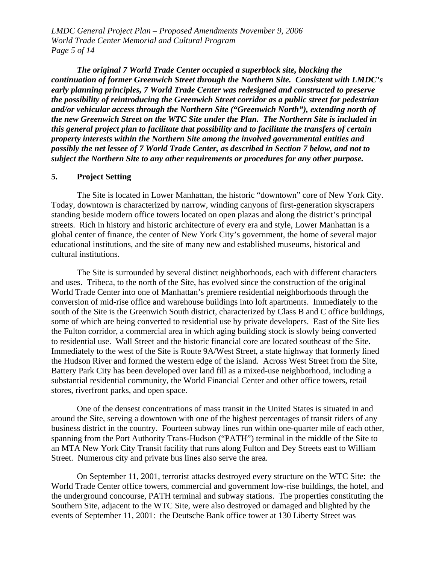*LMDC General Project Plan – Proposed Amendments November 9, 2006 World Trade Center Memorial and Cultural Program Page 5 of 14* 

*The original 7 World Trade Center occupied a superblock site, blocking the continuation of former Greenwich Street through the Northern Site. Consistent with LMDC's early planning principles, 7 World Trade Center was redesigned and constructed to preserve the possibility of reintroducing the Greenwich Street corridor as a public street for pedestrian and/or vehicular access through the Northern Site ("Greenwich North"), extending north of the new Greenwich Street on the WTC Site under the Plan. The Northern Site is included in this general project plan to facilitate that possibility and to facilitate the transfers of certain property interests within the Northern Site among the involved governmental entities and possibly the net lessee of 7 World Trade Center, as described in Section 7 below, and not to subject the Northern Site to any other requirements or procedures for any other purpose.* 

#### **5. Project Setting**

The Site is located in Lower Manhattan, the historic "downtown" core of New York City. Today, downtown is characterized by narrow, winding canyons of first-generation skyscrapers standing beside modern office towers located on open plazas and along the district's principal streets. Rich in history and historic architecture of every era and style, Lower Manhattan is a global center of finance, the center of New York City's government, the home of several major educational institutions, and the site of many new and established museums, historical and cultural institutions.

The Site is surrounded by several distinct neighborhoods, each with different characters and uses. Tribeca, to the north of the Site, has evolved since the construction of the original World Trade Center into one of Manhattan's premiere residential neighborhoods through the conversion of mid-rise office and warehouse buildings into loft apartments. Immediately to the south of the Site is the Greenwich South district, characterized by Class B and C office buildings, some of which are being converted to residential use by private developers. East of the Site lies the Fulton corridor, a commercial area in which aging building stock is slowly being converted to residential use. Wall Street and the historic financial core are located southeast of the Site. Immediately to the west of the Site is Route 9A/West Street, a state highway that formerly lined the Hudson River and formed the western edge of the island. Across West Street from the Site, Battery Park City has been developed over land fill as a mixed-use neighborhood, including a substantial residential community, the World Financial Center and other office towers, retail stores, riverfront parks, and open space.

One of the densest concentrations of mass transit in the United States is situated in and around the Site, serving a downtown with one of the highest percentages of transit riders of any business district in the country. Fourteen subway lines run within one-quarter mile of each other, spanning from the Port Authority Trans-Hudson ("PATH") terminal in the middle of the Site to an MTA New York City Transit facility that runs along Fulton and Dey Streets east to William Street. Numerous city and private bus lines also serve the area.

On September 11, 2001, terrorist attacks destroyed every structure on the WTC Site: the World Trade Center office towers, commercial and government low-rise buildings, the hotel, and the underground concourse, PATH terminal and subway stations. The properties constituting the Southern Site, adjacent to the WTC Site, were also destroyed or damaged and blighted by the events of September 11, 2001: the Deutsche Bank office tower at 130 Liberty Street was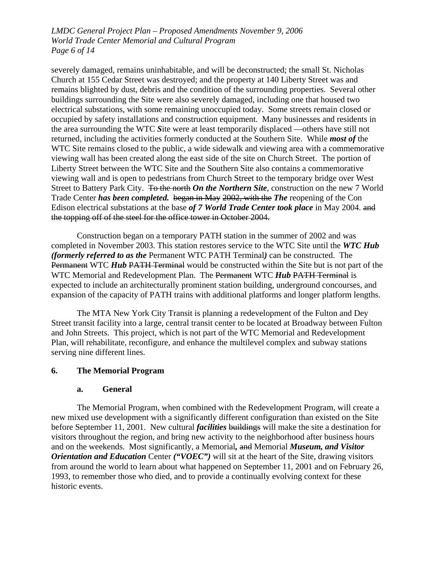*LMDC General Project Plan – Proposed Amendments November 9, 2006 World Trade Center Memorial and Cultural Program Page 6 of 14* 

severely damaged, remains uninhabitable, and will be deconstructed; the small St. Nicholas Church at 155 Cedar Street was destroyed; and the property at 140 Liberty Street was and remains blighted by dust, debris and the condition of the surrounding properties. Several other buildings surrounding the Site were also severely damaged, including one that housed two electrical substations, with some remaining unoccupied today. Some streets remain closed or occupied by safety installations and construction equipment. Many businesses and residents in the area surrounding the WTC *S*ite were at least temporarily displaced —others have still not returned, including the activities formerly conducted at the Southern Site. While *most of* the WTC Site remains closed to the public, a wide sidewalk and viewing area with a commemorative viewing wall has been created along the east side of the site on Church Street. The portion of Liberty Street between the WTC Site and the Southern Site also contains a commemorative viewing wall and is open to pedestrians from Church Street to the temporary bridge over West Street to Battery Park City. To the north *On the Northern Site*, construction on the new 7 World Trade Center *has been completed.* began in May 2002, with the *The* reopening of the Con Edison electrical substations at the base *of 7 World Trade Center took place* in May 2004. and the topping off of the steel for the office tower in October 2004.

Construction began on a temporary PATH station in the summer of 2002 and was completed in November 2003. This station restores service to the WTC Site until the *WTC Hub (formerly referred to as the* Permanent WTC PATH Terminal*)* can be constructed. The Permanent WTC *Hub* PATH Terminal would be constructed within the Site but is not part of the WTC Memorial and Redevelopment Plan. The Permanent WTC *Hub* PATH Terminal is expected to include an architecturally prominent station building, underground concourses, and expansion of the capacity of PATH trains with additional platforms and longer platform lengths.

The MTA New York City Transit is planning a redevelopment of the Fulton and Dey Street transit facility into a large, central transit center to be located at Broadway between Fulton and John Streets. This project, which is not part of the WTC Memorial and Redevelopment Plan, will rehabilitate, reconfigure, and enhance the multilevel complex and subway stations serving nine different lines.

## **6. The Memorial Program**

#### **a. General**

The Memorial Program, when combined with the Redevelopment Program, will create a new mixed use development with a significantly different configuration than existed on the Site before September 11, 2001. New cultural *facilities* buildings will make the site a destination for visitors throughout the region, and bring new activity to the neighborhood after business hours and on the weekends. Most significantly, a Memorial*,* and Memorial *Museum, and Visitor Orientation and Education* Center *("VOEC")* will sit at the heart of the Site, drawing visitors from around the world to learn about what happened on September 11, 2001 and on February 26, 1993, to remember those who died, and to provide a continually evolving context for these historic events.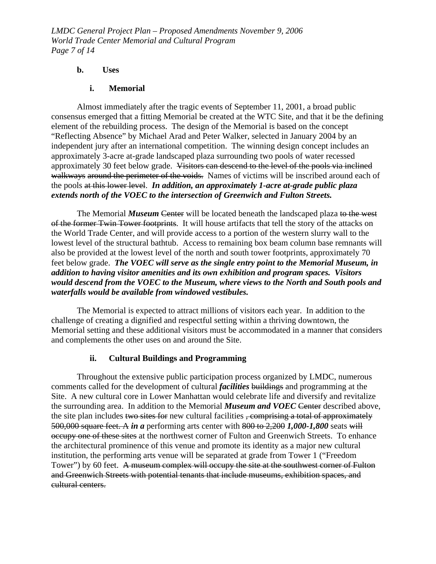*LMDC General Project Plan – Proposed Amendments November 9, 2006 World Trade Center Memorial and Cultural Program Page 7 of 14* 

#### **b. Uses**

#### **i. Memorial**

Almost immediately after the tragic events of September 11, 2001, a broad public consensus emerged that a fitting Memorial be created at the WTC Site, and that it be the defining element of the rebuilding process. The design of the Memorial is based on the concept "Reflecting Absence" by Michael Arad and Peter Walker, selected in January 2004 by an independent jury after an international competition. The winning design concept includes an approximately 3-acre at-grade landscaped plaza surrounding two pools of water recessed approximately 30 feet below grade. Visitors can descend to the level of the pools via inclined walkways around the perimeter of the voids. Names of victims will be inscribed around each of the pools at this lower level. *In addition, an approximately 1-acre at-grade public plaza extends north of the VOEC to the intersection of Greenwich and Fulton Streets.*

The Memorial *Museum* Center will be located beneath the landscaped plaza to the west of the former Twin Tower footprints. It will house artifacts that tell the story of the attacks on the World Trade Center, and will provide access to a portion of the western slurry wall to the lowest level of the structural bathtub. Access to remaining box beam column base remnants will also be provided at the lowest level of the north and south tower footprints, approximately 70 feet below grade. *The VOEC will serve as the single entry point to the Memorial Museum, in addition to having visitor amenities and its own exhibition and program spaces. Visitors would descend from the VOEC to the Museum, where views to the North and South pools and waterfalls would be available from windowed vestibules.* 

The Memorial is expected to attract millions of visitors each year. In addition to the challenge of creating a dignified and respectful setting within a thriving downtown, the Memorial setting and these additional visitors must be accommodated in a manner that considers and complements the other uses on and around the Site.

# **ii. Cultural Buildings and Programming**

Throughout the extensive public participation process organized by LMDC, numerous comments called for the development of cultural *facilities* buildings and programming at the Site. A new cultural core in Lower Manhattan would celebrate life and diversify and revitalize the surrounding area. In addition to the Memorial *Museum and VOEC* Center described above, the site plan includes two sites for new cultural facilities , comprising a total of approximately 500,000 square feet. A *in a* performing arts center with 800 to 2,200 *1,000-1,800* seats will occupy one of these sites at the northwest corner of Fulton and Greenwich Streets. To enhance the architectural prominence of this venue and promote its identity as a major new cultural institution, the performing arts venue will be separated at grade from Tower 1 ("Freedom Tower") by 60 feet. A museum complex will occupy the site at the southwest corner of Fulton and Greenwich Streets with potential tenants that include museums, exhibition spaces, and cultural centers.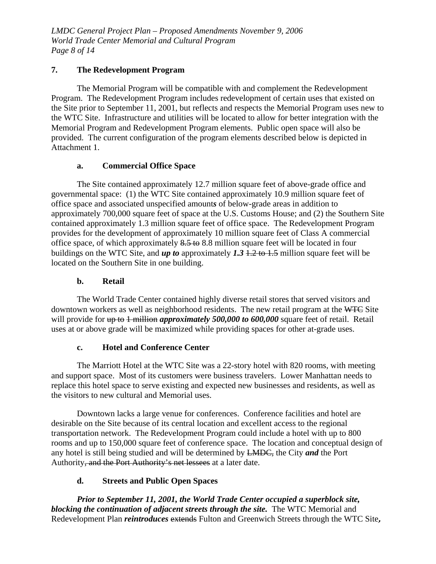*LMDC General Project Plan – Proposed Amendments November 9, 2006 World Trade Center Memorial and Cultural Program Page 8 of 14* 

# **7. The Redevelopment Program**

The Memorial Program will be compatible with and complement the Redevelopment Program. The Redevelopment Program includes redevelopment of certain uses that existed on the Site prior to September 11, 2001, but reflects and respects the Memorial Program uses new to the WTC Site. Infrastructure and utilities will be located to allow for better integration with the Memorial Program and Redevelopment Program elements. Public open space will also be provided. The current configuration of the program elements described below is depicted in Attachment 1.

## **a. Commercial Office Space**

The Site contained approximately 12.7 million square feet of above-grade office and governmental space: (1) the WTC Site contained approximately 10.9 million square feet of office space and associated unspecified amount*s* of below-grade areas in addition to approximately 700,000 square feet of space at the U.S. Customs House; and (2) the Southern Site contained approximately 1.3 million square feet of office space. The Redevelopment Program provides for the development of approximately 10 million square feet of Class A commercial office space, of which approximately 8.5 to 8.8 million square feet will be located in four buildings on the WTC Site, and *up to* approximately *1.3* 1.2 to 1.5 million square feet will be located on the Southern Site in one building.

## **b. Retail**

The World Trade Center contained highly diverse retail stores that served visitors and downtown workers as well as neighborhood residents. The new retail program at the WTC Site will provide for up to 1 million *approximately 500,000 to 600,000* square feet of retail. Retail uses at or above grade will be maximized while providing spaces for other at-grade uses.

# **c. Hotel and Conference Center**

The Marriott Hotel at the WTC Site was a 22-story hotel with 820 rooms, with meeting and support space. Most of its customers were business travelers. Lower Manhattan needs to replace this hotel space to serve existing and expected new businesses and residents, as well as the visitors to new cultural and Memorial uses.

Downtown lacks a large venue for conferences. Conference facilities and hotel are desirable on the Site because of its central location and excellent access to the regional transportation network. The Redevelopment Program could include a hotel with up to 800 rooms and up to 150,000 square feet of conference space. The location and conceptual design of any hotel is still being studied and will be determined by LMDC, the City *and* the Port Authority, and the Port Authority's net lessees at a later date.

# **d. Streets and Public Open Spaces**

*Prior to September 11, 2001, the World Trade Center occupied a superblock site, blocking the continuation of adjacent streets through the site.* The WTC Memorial and Redevelopment Plan *reintroduces* extends Fulton and Greenwich Streets through the WTC Site**,**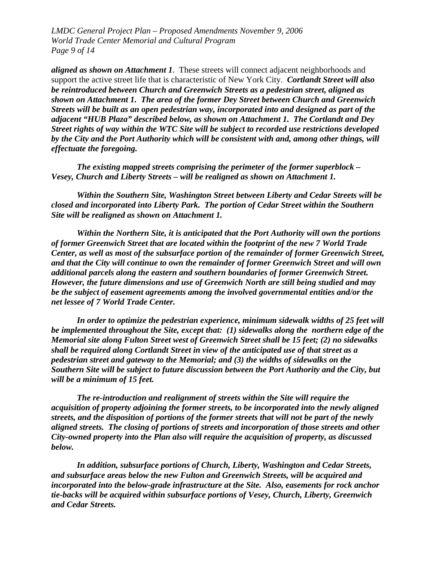*LMDC General Project Plan – Proposed Amendments November 9, 2006 World Trade Center Memorial and Cultural Program Page 9 of 14* 

*aligned as shown on Attachment 1*. These streets will connect adjacent neighborhoods and support the active street life that is characteristic of New York City. *Cortlandt Street will also be reintroduced between Church and Greenwich Streets as a pedestrian street, aligned as shown on Attachment 1. The area of the former Dey Street between Church and Greenwich Streets will be built as an open pedestrian way, incorporated into and designed as part of the adjacent "HUB Plaza" described below, as shown on Attachment 1. The Cortlandt and Dey Street rights of way within the WTC Site will be subject to recorded use restrictions developed by the City and the Port Authority which will be consistent with and, among other things, will effectuate the foregoing.* 

*The existing mapped streets comprising the perimeter of the former superblock – Vesey, Church and Liberty Streets – will be realigned as shown on Attachment 1.* 

*Within the Southern Site, Washington Street between Liberty and Cedar Streets will be closed and incorporated into Liberty Park. The portion of Cedar Street within the Southern Site will be realigned as shown on Attachment 1.* 

*Within the Northern Site, it is anticipated that the Port Authority will own the portions of former Greenwich Street that are located within the footprint of the new 7 World Trade Center, as well as most of the subsurface portion of the remainder of former Greenwich Street, and that the City will continue to own the remainder of former Greenwich Street and will own additional parcels along the eastern and southern boundaries of former Greenwich Street. However, the future dimensions and use of Greenwich North are still being studied and may be the subject of easement agreements among the involved governmental entities and/or the net lessee of 7 World Trade Center.* 

*In order to optimize the pedestrian experience, minimum sidewalk widths of 25 feet will be implemented throughout the Site, except that: (1) sidewalks along the northern edge of the Memorial site along Fulton Street west of Greenwich Street shall be 15 feet; (2) no sidewalks shall be required along Cortlandt Street in view of the anticipated use of that street as a pedestrian street and gateway to the Memorial; and (3) the widths of sidewalks on the Southern Site will be subject to future discussion between the Port Authority and the City, but will be a minimum of 15 feet.* 

*The re-introduction and realignment of streets within the Site will require the acquisition of property adjoining the former streets, to be incorporated into the newly aligned streets, and the disposition of portions of the former streets that will not be part of the newly aligned streets. The closing of portions of streets and incorporation of those streets and other City-owned property into the Plan also will require the acquisition of property, as discussed below.* 

*In addition, subsurface portions of Church, Liberty, Washington and Cedar Streets, and subsurface areas below the new Fulton and Greenwich Streets, will be acquired and incorporated into the below-grade infrastructure at the Site. Also, easements for rock anchor tie-backs will be acquired within subsurface portions of Vesey, Church, Liberty, Greenwich and Cedar Streets.*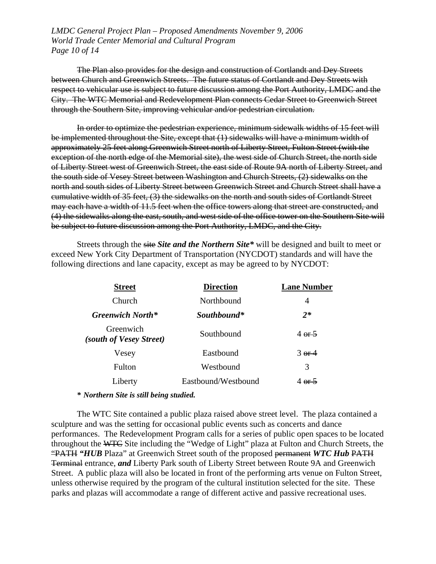*LMDC General Project Plan – Proposed Amendments November 9, 2006 World Trade Center Memorial and Cultural Program Page 10 of 14* 

The Plan also provides for the design and construction of Cortlandt and Dey Streets between Church and Greenwich Streets. The future status of Cortlandt and Dey Streets with respect to vehicular use is subject to future discussion among the Port Authority, LMDC and the City. The WTC Memorial and Redevelopment Plan connects Cedar Street to Greenwich Street through the Southern Site, improving vehicular and/or pedestrian circulation.

In order to optimize the pedestrian experience, minimum sidewalk widths of 15 feet will be implemented throughout the Site, except that (1) sidewalks will have a minimum width of approximately 25 feet along Greenwich Street north of Liberty Street, Fulton Street (with the exception of the north edge of the Memorial site), the west side of Church Street, the north side of Liberty Street west of Greenwich Street, the east side of Route 9A north of Liberty Street, and the south side of Vesey Street between Washington and Church Streets, (2) sidewalks on the north and south sides of Liberty Street between Greenwich Street and Church Street shall have a cumulative width of 35 feet, (3) the sidewalks on the north and south sides of Cortlandt Street may each have a width of 11.5 feet when the office towers along that street are constructed, and (4) the sidewalks along the east, south, and west side of the office tower on the Southern Site will be subject to future discussion among the Port Authority, LMDC, and the City.

Streets through the site *Site and the Northern Site\** will be designed and built to meet or exceed New York City Department of Transportation (NYCDOT) standards and will have the following directions and lane capacity, except as may be agreed to by NYCDOT:

| <b>Direction</b>    | <b>Lane Number</b> |
|---------------------|--------------------|
| Northbound          | 4                  |
| Southbound*         | $2*$               |
| Southbound          | 4.95               |
| Eastbound           | $3$ or 4           |
| Westbound           | 3                  |
| Eastbound/Westbound | 4 $er2$            |
|                     |                    |

*\* Northern Site is still being studied.*

The WTC Site contained a public plaza raised above street level. The plaza contained a sculpture and was the setting for occasional public events such as concerts and dance performances. The Redevelopment Program calls for a series of public open spaces to be located throughout the WTC Site including the "Wedge of Light" plaza at Fulton and Church Streets, the "PATH *"HUB* Plaza" at Greenwich Street south of the proposed permanent *WTC Hub* PATH Terminal entrance, *and* Liberty Park south of Liberty Street between Route 9A and Greenwich Street. A public plaza will also be located in front of the performing arts venue on Fulton Street, unless otherwise required by the program of the cultural institution selected for the site. These parks and plazas will accommodate a range of different active and passive recreational uses.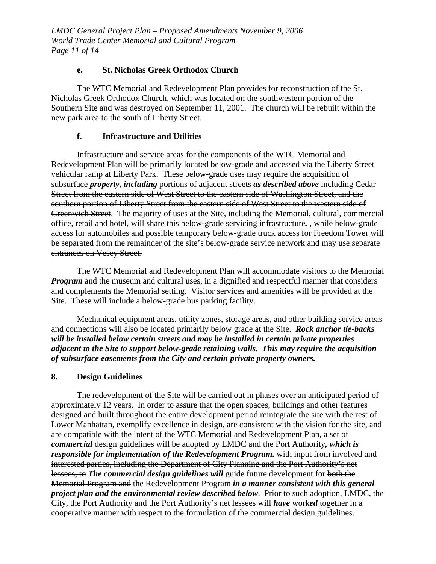*LMDC General Project Plan – Proposed Amendments November 9, 2006 World Trade Center Memorial and Cultural Program Page 11 of 14* 

# **e. St. Nicholas Greek Orthodox Church**

The WTC Memorial and Redevelopment Plan provides for reconstruction of the St. Nicholas Greek Orthodox Church, which was located on the southwestern portion of the Southern Site and was destroyed on September 11, 2001. The church will be rebuilt within the new park area to the south of Liberty Street.

## **f. Infrastructure and Utilities**

Infrastructure and service areas for the components of the WTC Memorial and Redevelopment Plan will be primarily located below-grade and accessed via the Liberty Street vehicular ramp at Liberty Park. These below-grade uses may require the acquisition of subsurface *property, including* portions of adjacent streets *as described above* including Cedar Street from the eastern side of West Street to the eastern side of Washington Street, and the southern portion of Liberty Street from the eastern side of West Street to the western side of Greenwich Street.The majority of uses at the Site, including the Memorial, cultural, commercial office, retail and hotel, will share this below-grade servicing infrastructure*.* , while below-grade access for automobiles and possible temporary below-grade truck access for Freedom Tower will be separated from the remainder of the site's below-grade service network and may use separate entrances on Vesey Street.

The WTC Memorial and Redevelopment Plan will accommodate visitors to the Memorial *Program* and the museum and cultural uses, in a dignified and respectful manner that considers and complements the Memorial setting. Visitor services and amenities will be provided at the Site. These will include a below-grade bus parking facility.

Mechanical equipment areas, utility zones, storage areas, and other building service areas and connections will also be located primarily below grade at the Site. *Rock anchor tie-backs will be installed below certain streets and may be installed in certain private properties adjacent to the Site to support below-grade retaining walls. This may require the acquisition of subsurface easements from the City and certain private property owners.* 

## **8. Design Guidelines**

The redevelopment of the Site will be carried out in phases over an anticipated period of approximately 12 years. In order to assure that the open spaces, buildings and other features designed and built throughout the entire development period reintegrate the site with the rest of Lower Manhattan, exemplify excellence in design, are consistent with the vision for the site, and are compatible with the intent of the WTC Memorial and Redevelopment Plan, a set of *commercial* design guidelines will be adopted by LMDC and the Port Authority*, which is responsible for implementation of the Redevelopment Program.* with input from involved and interested parties, including the Department of City Planning and the Port Authority's net lessees, to *The commercial design guidelines will* guide future development for both the Memorial Program and the Redevelopment Program *in a manner consistent with this general project plan and the environmental review described below.* Prior to such adoption, LMDC, the City, the Port Authority and the Port Authority's net lessees will *have* work*ed* together in a cooperative manner with respect to the formulation of the commercial design guidelines.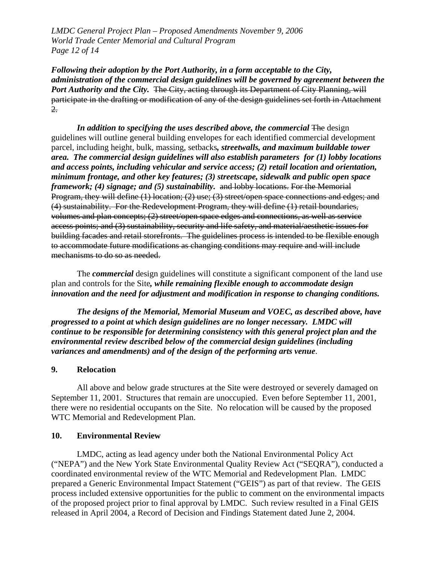*LMDC General Project Plan – Proposed Amendments November 9, 2006 World Trade Center Memorial and Cultural Program Page 12 of 14* 

*Following their adoption by the Port Authority, in a form acceptable to the City, administration of the commercial design guidelines will be governed by agreement between the*  Port Authority and the City. The City, acting through its Department of City Planning, will participate in the drafting or modification of any of the design guidelines set forth in Attachment 2.

*In addition to specifying the uses described above, the commercial The design* guidelines will outline general building envelopes for each identified commercial development parcel, including height, bulk, massing, setbacks*, streetwalls, and maximum buildable tower area. The commercial design guidelines will also establish parameters for (1) lobby locations and access points, including vehicular and service access; (2) retail location and orientation, minimum frontage, and other key features; (3) streetscape, sidewalk and public open space framework; (4) signage; and (5) sustainability.* and lobby locations. For the Memorial Program, they will define (1) location; (2) use; (3) street/open space connections and edges; and (4) sustainability. For the Redevelopment Program, they will define (1) retail boundaries, volumes and plan concepts; (2) street/open space edges and connections, as well as service access points; and (3) sustainability, security and life safety, and material/aesthetic issues for building facades and retail storefronts. The guidelines process is intended to be flexible enough to accommodate future modifications as changing conditions may require and will include mechanisms to do so as needed.

The *commercial* design guidelines will constitute a significant component of the land use plan and controls for the Site*, while remaining flexible enough to accommodate design innovation and the need for adjustment and modification in response to changing conditions.* 

*The designs of the Memorial, Memorial Museum and VOEC, as described above, have progressed to a point at which design guidelines are no longer necessary. LMDC will continue to be responsible for determining consistency with this general project plan and the environmental review described below of the commercial design guidelines (including variances and amendments) and of the design of the performing arts venue*.

## **9. Relocation**

All above and below grade structures at the Site were destroyed or severely damaged on September 11, 2001. Structures that remain are unoccupied. Even before September 11, 2001, there were no residential occupants on the Site. No relocation will be caused by the proposed WTC Memorial and Redevelopment Plan.

#### **10. Environmental Review**

LMDC, acting as lead agency under both the National Environmental Policy Act ("NEPA") and the New York State Environmental Quality Review Act ("SEQRA"), conducted a coordinated environmental review of the WTC Memorial and Redevelopment Plan. LMDC prepared a Generic Environmental Impact Statement ("GEIS") as part of that review. The GEIS process included extensive opportunities for the public to comment on the environmental impacts of the proposed project prior to final approval by LMDC. Such review resulted in a Final GEIS released in April 2004, a Record of Decision and Findings Statement dated June 2, 2004.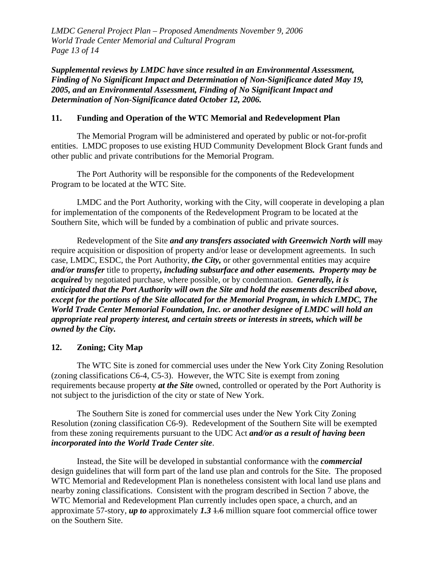*LMDC General Project Plan – Proposed Amendments November 9, 2006 World Trade Center Memorial and Cultural Program Page 13 of 14* 

*Supplemental reviews by LMDC have since resulted in an Environmental Assessment, Finding of No Significant Impact and Determination of Non-Significance dated May 19, 2005, and an Environmental Assessment, Finding of No Significant Impact and Determination of Non-Significance dated October 12, 2006.*

## **11. Funding and Operation of the WTC Memorial and Redevelopment Plan**

The Memorial Program will be administered and operated by public or not-for-profit entities. LMDC proposes to use existing HUD Community Development Block Grant funds and other public and private contributions for the Memorial Program.

The Port Authority will be responsible for the components of the Redevelopment Program to be located at the WTC Site.

LMDC and the Port Authority, working with the City, will cooperate in developing a plan for implementation of the components of the Redevelopment Program to be located at the Southern Site, which will be funded by a combination of public and private sources.

Redevelopment of the Site *and any transfers associated with Greenwich North will* may require acquisition or disposition of property and/or lease or development agreements. In such case, LMDC, ESDC, the Port Authority, *the City,* or other governmental entities may acquire *and/or transfer* title to property*, including subsurface and other easements. Property may be acquired* by negotiated purchase, where possible, or by condemnation. *Generally, it is anticipated that the Port Authority will own the Site and hold the easements described above, except for the portions of the Site allocated for the Memorial Program, in which LMDC, The World Trade Center Memorial Foundation, Inc. or another designee of LMDC will hold an appropriate real property interest, and certain streets or interests in streets, which will be owned by the City.*

# **12. Zoning; City Map**

The WTC Site is zoned for commercial uses under the New York City Zoning Resolution (zoning classifications C6-4, C5-3). However, the WTC Site is exempt from zoning requirements because property *at the Site* owned, controlled or operated by the Port Authority is not subject to the jurisdiction of the city or state of New York.

The Southern Site is zoned for commercial uses under the New York City Zoning Resolution (zoning classification C6-9). Redevelopment of the Southern Site will be exempted from these zoning requirements pursuant to the UDC Act *and/or as a result of having been incorporated into the World Trade Center site*.

Instead, the Site will be developed in substantial conformance with the *commercial* design guidelines that will form part of the land use plan and controls for the Site. The proposed WTC Memorial and Redevelopment Plan is nonetheless consistent with local land use plans and nearby zoning classifications. Consistent with the program described in Section 7 above, the WTC Memorial and Redevelopment Plan currently includes open space, a church, and an approximate 57-story, *up to* approximately *1.3* 1.6 million square foot commercial office tower on the Southern Site.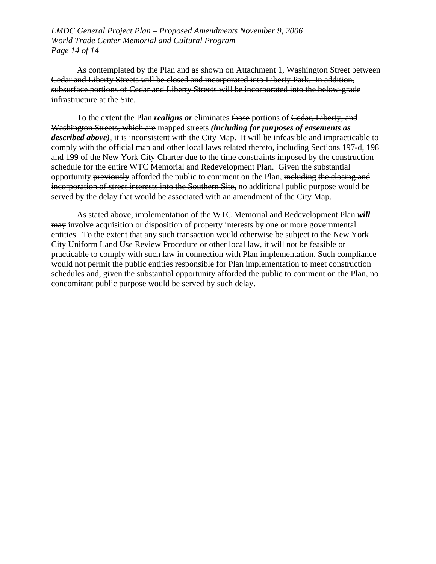*LMDC General Project Plan – Proposed Amendments November 9, 2006 World Trade Center Memorial and Cultural Program Page 14 of 14* 

As contemplated by the Plan and as shown on Attachment 1, Washington Street between Cedar and Liberty Streets will be closed and incorporated into Liberty Park. In addition, subsurface portions of Cedar and Liberty Streets will be incorporated into the below-grade infrastructure at the Site.

To the extent the Plan *realigns or* eliminates those portions of Cedar, Liberty, and Washington Streets, which are mapped streets *(including for purposes of easements as described above)*, it is inconsistent with the City Map. It will be infeasible and impracticable to comply with the official map and other local laws related thereto, including Sections 197-d, 198 and 199 of the New York City Charter due to the time constraints imposed by the construction schedule for the entire WTC Memorial and Redevelopment Plan. Given the substantial opportunity previously afforded the public to comment on the Plan, including the closing and incorporation of street interests into the Southern Site, no additional public purpose would be served by the delay that would be associated with an amendment of the City Map.

As stated above, implementation of the WTC Memorial and Redevelopment Plan *will* may involve acquisition or disposition of property interests by one or more governmental entities. To the extent that any such transaction would otherwise be subject to the New York City Uniform Land Use Review Procedure or other local law, it will not be feasible or practicable to comply with such law in connection with Plan implementation. Such compliance would not permit the public entities responsible for Plan implementation to meet construction schedules and, given the substantial opportunity afforded the public to comment on the Plan, no concomitant public purpose would be served by such delay.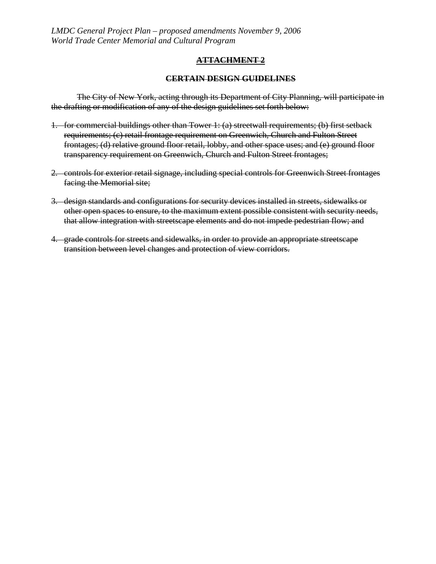# **ATTACHMENT 2**

### **CERTAIN DESIGN GUIDELINES**

The City of New York, acting through its Department of City Planning, will participate in the drafting or modification of any of the design guidelines set forth below:

- 1. for commercial buildings other than Tower 1: (a) streetwall requirements; (b) first setback requirements; (c) retail frontage requirement on Greenwich, Church and Fulton Street frontages; (d) relative ground floor retail, lobby, and other space uses; and (e) ground floor transparency requirement on Greenwich, Church and Fulton Street frontages;
- 2. controls for exterior retail signage, including special controls for Greenwich Street frontages facing the Memorial site;
- 3. design standards and configurations for security devices installed in streets, sidewalks or other open spaces to ensure, to the maximum extent possible consistent with security needs, that allow integration with streetscape elements and do not impede pedestrian flow; and
- 4. grade controls for streets and sidewalks, in order to provide an appropriate streetscape transition between level changes and protection of view corridors.